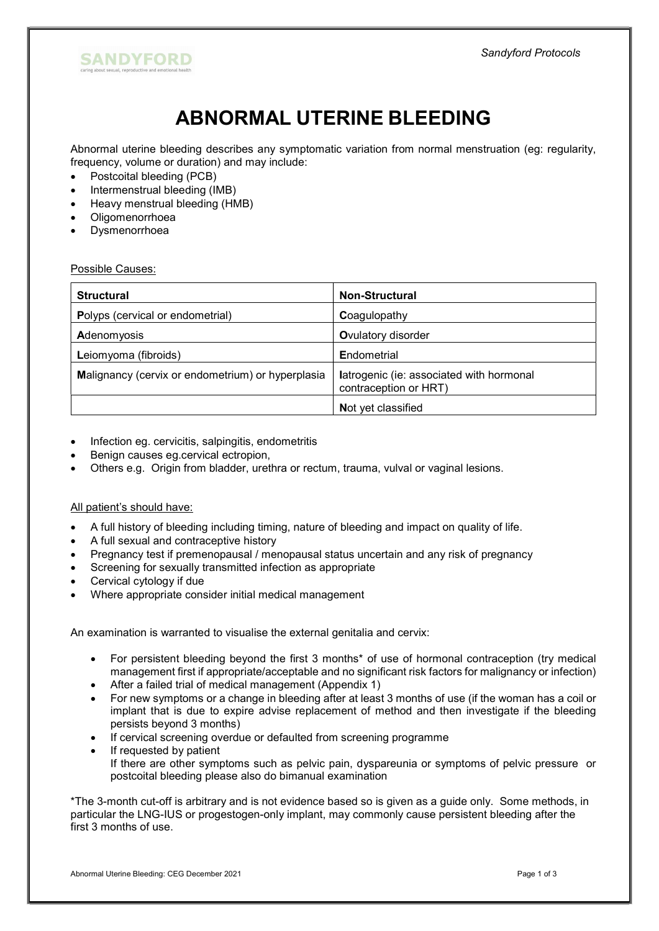

# ABNORMAL UTERINE BLEEDING

Abnormal uterine bleeding describes any symptomatic variation from normal menstruation (eg: regularity, frequency, volume or duration) and may include:

- Postcoital bleeding (PCB)
- Intermenstrual bleeding (IMB)
- Heavy menstrual bleeding (HMB)
- Oligomenorrhoea
- Dysmenorrhoea

### Possible Causes:

| <b>Structural</b>                                 | <b>Non-Structural</b>                                             |
|---------------------------------------------------|-------------------------------------------------------------------|
| Polyps (cervical or endometrial)                  | Coagulopathy                                                      |
| Adenomyosis                                       | <b>O</b> vulatory disorder                                        |
| Leiomyoma (fibroids)                              | Endometrial                                                       |
| Malignancy (cervix or endometrium) or hyperplasia | latrogenic (ie: associated with hormonal<br>contraception or HRT) |
|                                                   | Not yet classified                                                |

- Infection eg. cervicitis, salpingitis, endometritis
- Benign causes eg.cervical ectropion,
- Others e.g. Origin from bladder, urethra or rectum, trauma, vulval or vaginal lesions.

### All patient's should have:

- A full history of bleeding including timing, nature of bleeding and impact on quality of life.
- A full sexual and contraceptive history
- Pregnancy test if premenopausal / menopausal status uncertain and any risk of pregnancy
- Screening for sexually transmitted infection as appropriate
- Cervical cytology if due
- Where appropriate consider initial medical management

An examination is warranted to visualise the external genitalia and cervix:

- For persistent bleeding beyond the first 3 months<sup>\*</sup> of use of hormonal contraception (try medical management first if appropriate/acceptable and no significant risk factors for malignancy or infection)
- After a failed trial of medical management (Appendix 1)
- For new symptoms or a change in bleeding after at least 3 months of use (if the woman has a coil or implant that is due to expire advise replacement of method and then investigate if the bleeding persists beyond 3 months)
- If cervical screening overdue or defaulted from screening programme
- If requested by patient
- If there are other symptoms such as pelvic pain, dyspareunia or symptoms of pelvic pressure or postcoital bleeding please also do bimanual examination

\*The 3-month cut-off is arbitrary and is not evidence based so is given as a guide only. Some methods, in particular the LNG-IUS or progestogen-only implant, may commonly cause persistent bleeding after the first 3 months of use.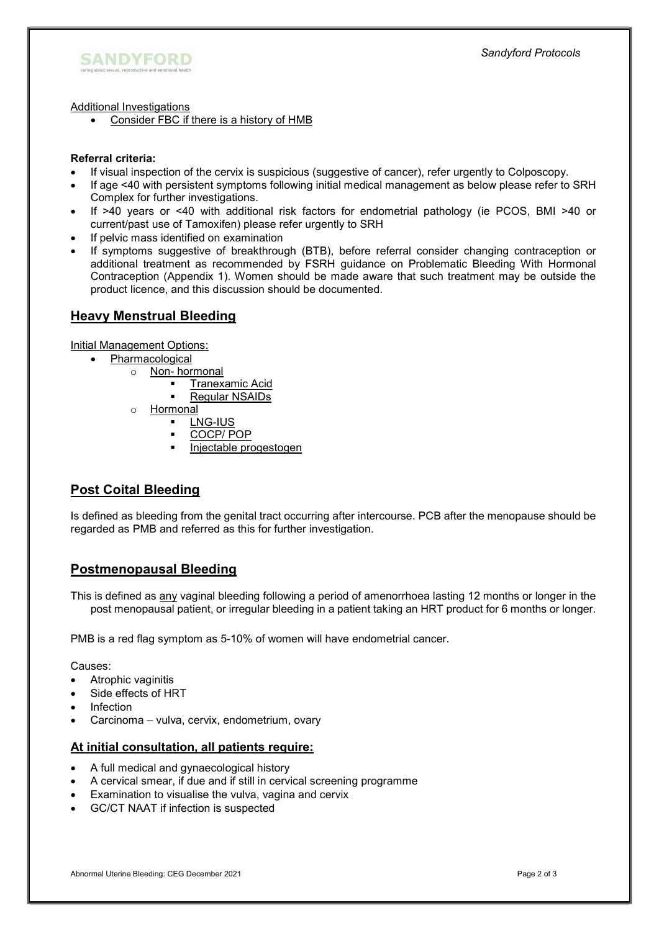

Additional Investigations

Consider FBC if there is a history of HMB

### Referral criteria:

- If visual inspection of the cervix is suspicious (suggestive of cancer), refer urgently to Colposcopy.
- If age <40 with persistent symptoms following initial medical management as below please refer to SRH Complex for further investigations.
- If >40 years or <40 with additional risk factors for endometrial pathology (ie PCOS, BMI >40 or current/past use of Tamoxifen) please refer urgently to SRH
- If pelvic mass identified on examination
- If symptoms suggestive of breakthrough (BTB), before referral consider changing contraception or additional treatment as recommended by FSRH guidance on Problematic Bleeding With Hormonal Contraception (Appendix 1). Women should be made aware that such treatment may be outside the product licence, and this discussion should be documented.

### Heavy Menstrual Bleeding

Initial Management Options:

- Pharmacological
	- o Non- hormonal
		- **Tranexamic Acid**
		- **Requiar NSAIDs**
		- o Hormonal
			- LNG-IUS
			- COCP/ POP
			- **Injectable progestogen**

# Post Coital Bleeding

Is defined as bleeding from the genital tract occurring after intercourse. PCB after the menopause should be regarded as PMB and referred as this for further investigation.

## Postmenopausal Bleeding

This is defined as any vaginal bleeding following a period of amenorrhoea lasting 12 months or longer in the post menopausal patient, or irregular bleeding in a patient taking an HRT product for 6 months or longer.

PMB is a red flag symptom as 5-10% of women will have endometrial cancer.

Causes:

- Atrophic vaginitis
- Side effects of HRT
- Infection
- Carcinoma vulva, cervix, endometrium, ovary

### At initial consultation, all patients require:

- A full medical and gynaecological history
- A cervical smear, if due and if still in cervical screening programme
- Examination to visualise the vulva, vagina and cervix
- GC/CT NAAT if infection is suspected